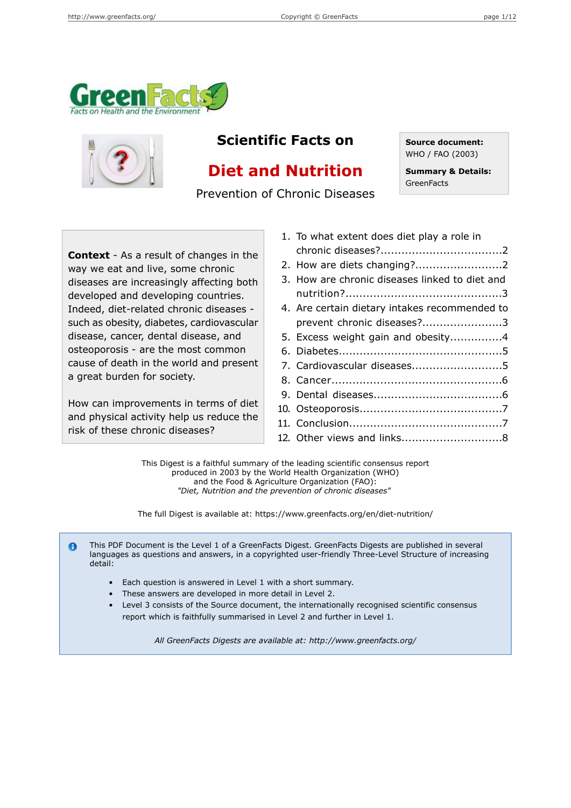



## **Scientific Facts on Source document:**

# **Diet and Nutrition**

Prevention of Chronic Diseases

WHO / FAO (2003)

**Summary & Details: GreenFacts** 

**Context** - As a result of changes in the way we eat and live, some chronic diseases are increasingly affecting both developed and developing countries. Indeed, diet-related chronic diseases - 4. such as obesity, diabetes, cardiovascular disease, cancer, dental disease, and osteoporosis - are the most common cause of death in the world and present a great burden for society.

How can improvements in terms of diet and physical activity help us reduce the risk of these chronic diseases?

| 1. To what extent does diet play a role in     |  |
|------------------------------------------------|--|
|                                                |  |
|                                                |  |
| 3. How are chronic diseases linked to diet and |  |
|                                                |  |
| 4. Are certain dietary intakes recommended to  |  |
| prevent chronic diseases?3                     |  |
| 5. Excess weight gain and obesity4             |  |
|                                                |  |
| 7. Cardiovascular diseases5                    |  |
|                                                |  |
|                                                |  |
|                                                |  |
|                                                |  |
|                                                |  |
|                                                |  |

This Digest is a faithful summary of the leading scientific consensus report produced in 2003 by the World Health Organization (WHO) and the Food & Agriculture Organization (FAO): *"Diet, Nutrition and the prevention of chronic diseases"*

The full Digest is available at: https://www.greenfacts.org/en/diet-nutrition/

This PDF Document is the Level 1 of a GreenFacts Digest. GreenFacts Digests are published in several  $\bullet$ languages as questions and answers, in a copyrighted user-friendly Three-Level Structure of increasing detail:

- Each question is answered in Level 1 with a short summary.
- These answers are developed in more detail in Level 2.
- Level 3 consists of the Source document, the internationally recognised scientific consensus report which is faithfully summarised in Level 2 and further in Level 1.

*All GreenFacts Digests are available at: http://www.greenfacts.org/*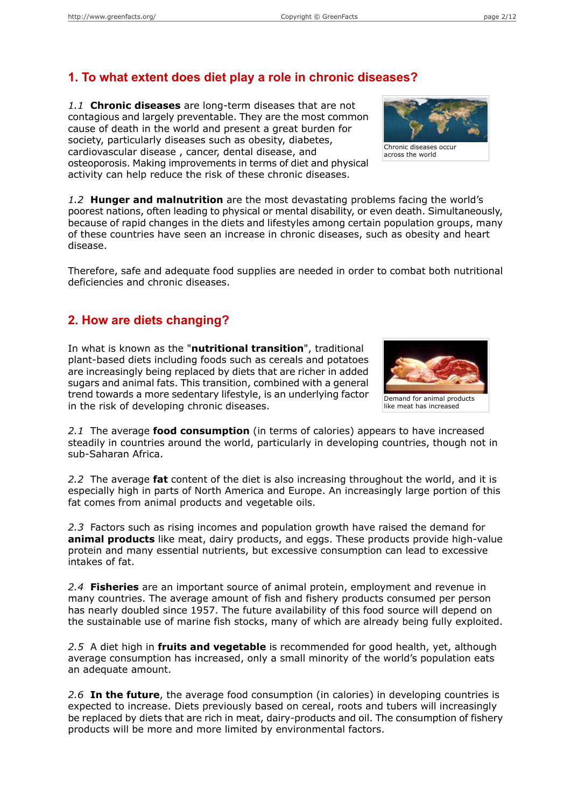## **1. To what extent does diet play a role in chronic diseases?**

*1.1* **Chronic diseases** are long-term diseases that are not contagious and largely preventable. They are the most common cause of death in the world and present a great burden for society, particularly diseases such as obesity, diabetes, cardiovascular disease , cancer, dental disease, and osteoporosis. Making improvements in terms of diet and physical activity can help reduce the risk of these chronic diseases.

*1.2* **Hunger and malnutrition** are the most devastating problems facing the world's poorest nations, often leading to physical or mental disability, or even death. Simultaneously, because of rapid changes in the diets and lifestyles among certain population groups, many of these countries have seen an increase in chronic diseases, such as obesity and heart disease.

Therefore, safe and adequate food supplies are needed in order to combat both nutritional deficiencies and chronic diseases.

### **2. How are diets changing?**

In what is known as the "**nutritional transition**", traditional plant-based diets including foods such as cereals and potatoes are increasingly being replaced by diets that are richer in added sugars and animal fats. This transition, combined with a general trend towards a more sedentary lifestyle, is an underlying factor in the risk of developing chronic diseases.

*2.1* The average **food consumption** (in terms of calories) appears to have increased steadily in countries around the world, particularly in developing countries, though not in sub-Saharan Africa.

*2.2* The average **fat** content of the diet is also increasing throughout the world, and it is especially high in parts of North America and Europe. An increasingly large portion of this fat comes from animal products and vegetable oils.

*2.3* Factors such as rising incomes and population growth have raised the demand for **animal products** like meat, dairy products, and eggs. These products provide high-value protein and many essential nutrients, but excessive consumption can lead to excessive intakes of fat.

*2.4* **Fisheries** are an important source of animal protein, employment and revenue in many countries. The average amount of fish and fishery products consumed per person has nearly doubled since 1957. The future availability of this food source will depend on the sustainable use of marine fish stocks, many of which are already being fully exploited.

*2.5* A diet high in **fruits and vegetable** is recommended for good health, yet, although average consumption has increased, only a small minority of the world's population eats an adequate amount.

*2.6* **In the future**, the average food consumption (in calories) in developing countries is expected to increase. Diets previously based on cereal, roots and tubers will increasingly be replaced by diets that are rich in meat, dairy-products and oil. The consumption of fishery products will be more and more limited by environmental factors.



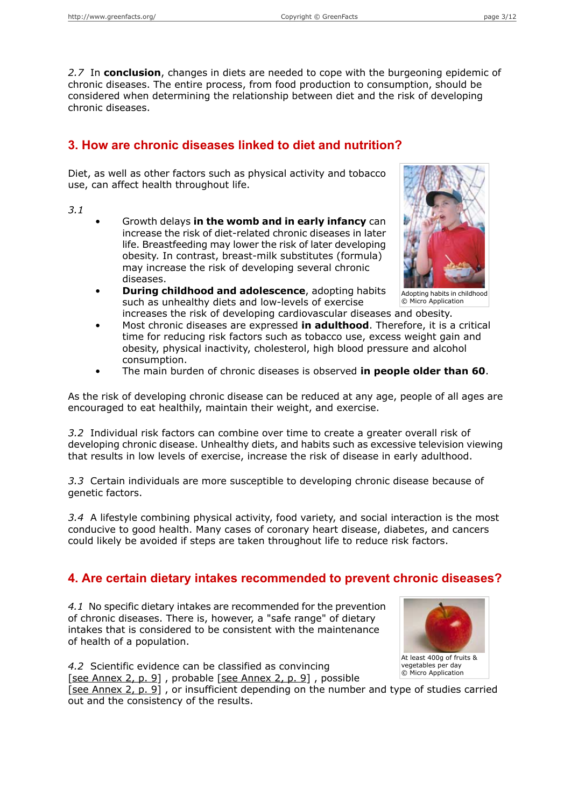*2.7* In **conclusion**, changes in diets are needed to cope with the burgeoning epidemic of chronic diseases. The entire process, from food production to consumption, should be considered when determining the relationship between diet and the risk of developing chronic diseases.

### **3. How are chronic diseases linked to diet and nutrition?**

Diet, as well as other factors such as physical activity and tobacco use, can affect health throughout life.

*3.1*

- Growth delays **in the womb and in early infancy** can increase the risk of diet-related chronic diseases in later life. Breastfeeding may lower the risk of later developing obesity. In contrast, breast-milk substitutes (formula) may increase the risk of developing several chronic diseases.
- **During childhood and adolescence**, adopting habits such as unhealthy diets and low-levels of exercise increases the risk of developing cardiovascular diseases and obesity.



Adopting habits in childhood © Micro Application

- Most chronic diseases are expressed **in adulthood**. Therefore, it is a critical time for reducing risk factors such as tobacco use, excess weight gain and obesity, physical inactivity, cholesterol, high blood pressure and alcohol consumption.
- The main burden of chronic diseases is observed **in people older than 60**.

As the risk of developing chronic disease can be reduced at any age, people of all ages are encouraged to eat healthily, maintain their weight, and exercise.

*3.2* Individual risk factors can combine over time to create a greater overall risk of developing chronic disease. Unhealthy diets, and habits such as excessive television viewing that results in low levels of exercise, increase the risk of disease in early adulthood.

*3.3* Certain individuals are more susceptible to developing chronic disease because of genetic factors.

*3.4* A lifestyle combining physical activity, food variety, and social interaction is the most conducive to good health. Many cases of coronary heart disease, diabetes, and cancers could likely be avoided if steps are taken throughout life to reduce risk factors.

### **4. Are certain dietary intakes recommended to prevent chronic diseases?**

*4.1* No specific dietary intakes are recommended for the prevention of chronic diseases. There is, however, a "safe range" of dietary intakes that is considered to be consistent with the maintenance of health of a population.

*4.2* Scientific evidence can be classified as convincing [see [Annex](#page-8-0) 2, p. 9] , probable [see [Annex](#page-8-0) 2, p. 9] , possible

[see [Annex](#page-8-0) 2, p. 9], or insufficient depending on the number and type of studies carried out and the consistency of the results.

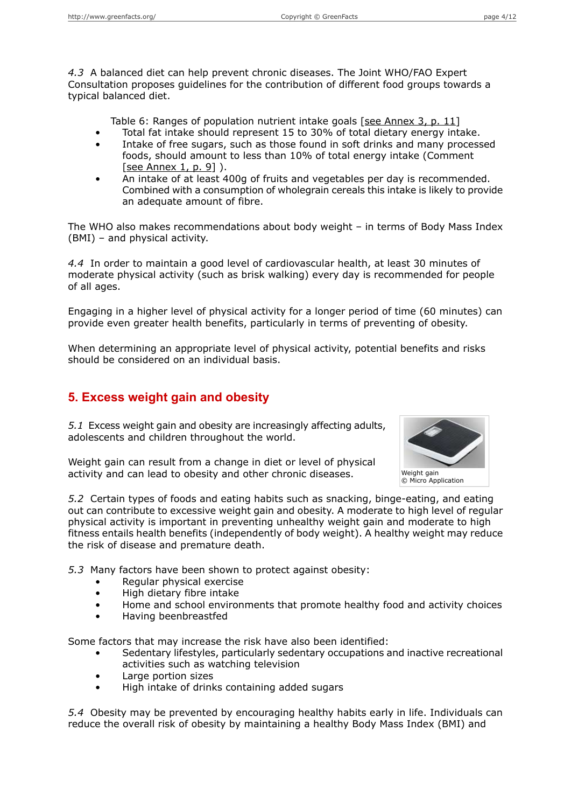*4.3* A balanced diet can help prevent chronic diseases. The Joint WHO/FAO Expert Consultation proposes guidelines for the contribution of different food groups towards a typical balanced diet.

Table 6: Ranges of population nutrient intake goals [see [Annex](#page-10-0) 3, p. 11]

- Total fat intake should represent 15 to 30% of total dietary energy intake.
- Intake of free sugars, such as those found in soft drinks and many processed foods, should amount to less than 10% of total energy intake (Comment [see [Annex](#page-8-1) 1, p. 9] ).
- An intake of at least 400g of fruits and vegetables per day is recommended. Combined with a consumption of wholegrain cereals this intake is likely to provide an adequate amount of fibre.

The WHO also makes recommendations about body weight – in terms of Body Mass Index (BMI) – and physical activity.

*4.4* In order to maintain a good level of cardiovascular health, at least 30 minutes of moderate physical activity (such as brisk walking) every day is recommended for people of all ages.

Engaging in a higher level of physical activity for a longer period of time (60 minutes) can provide even greater health benefits, particularly in terms of preventing of obesity.

When determining an appropriate level of physical activity, potential benefits and risks should be considered on an individual basis.

## **5. Excess weight gain and obesity**

*5.1* Excess weight gain and obesity are increasingly affecting adults, adolescents and children throughout the world.

Weight gain can result from a change in diet or level of physical activity and can lead to obesity and other chronic diseases.



*5.2* Certain types of foods and eating habits such as snacking, binge-eating, and eating out can contribute to excessive weight gain and obesity. A moderate to high level of regular physical activity is important in preventing unhealthy weight gain and moderate to high fitness entails health benefits (independently of body weight). A healthy weight may reduce the risk of disease and premature death.

*5.3* Many factors have been shown to protect against obesity:

- Regular physical exercise
- High dietary fibre intake
- Home and school environments that promote healthy food and activity choices
- Having beenbreastfed

Some factors that may increase the risk have also been identified:

- Sedentary lifestyles, particularly sedentary occupations and inactive recreational activities such as watching television
- Large portion sizes
- High intake of drinks containing added sugars

*5.4* Obesity may be prevented by encouraging healthy habits early in life. Individuals can reduce the overall risk of obesity by maintaining a healthy Body Mass Index (BMI) and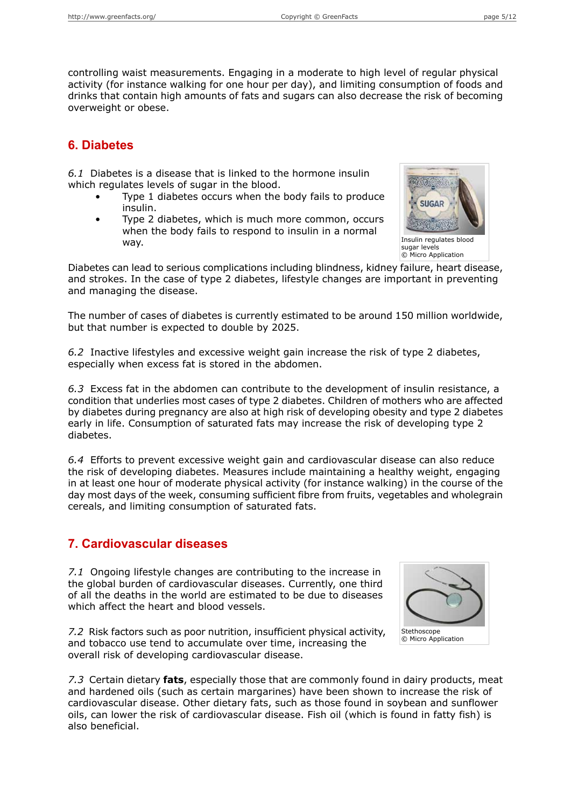controlling waist measurements. Engaging in a moderate to high level of regular physical activity (for instance walking for one hour per day), and limiting consumption of foods and drinks that contain high amounts of fats and sugars can also decrease the risk of becoming overweight or obese.

### **6. Diabetes**

*6.1* Diabetes is a disease that is linked to the hormone insulin which regulates levels of sugar in the blood.

- Type 1 diabetes occurs when the body fails to produce insulin.
- Type 2 diabetes, which is much more common, occurs when the body fails to respond to insulin in a normal way.



Insulin regulates blood sugar levels © Micro Application

Diabetes can lead to serious complications including blindness, kidney failure, heart disease, and strokes. In the case of type 2 diabetes, lifestyle changes are important in preventing and managing the disease.

The number of cases of diabetes is currently estimated to be around 150 million worldwide, but that number is expected to double by 2025.

*6.2* Inactive lifestyles and excessive weight gain increase the risk of type 2 diabetes, especially when excess fat is stored in the abdomen.

*6.3* Excess fat in the abdomen can contribute to the development of insulin resistance, a condition that underlies most cases of type 2 diabetes. Children of mothers who are affected by diabetes during pregnancy are also at high risk of developing obesity and type 2 diabetes early in life. Consumption of saturated fats may increase the risk of developing type 2 diabetes.

*6.4* Efforts to prevent excessive weight gain and cardiovascular disease can also reduce the risk of developing diabetes. Measures include maintaining a healthy weight, engaging in at least one hour of moderate physical activity (for instance walking) in the course of the day most days of the week, consuming sufficient fibre from fruits, vegetables and wholegrain cereals, and limiting consumption of saturated fats.

### **7. Cardiovascular diseases**

*7.1* Ongoing lifestyle changes are contributing to the increase in the global burden of cardiovascular diseases. Currently, one third of all the deaths in the world are estimated to be due to diseases which affect the heart and blood vessels.



*7.2* Risk factors such as poor nutrition, insufficient physical activity, and tobacco use tend to accumulate over time, increasing the overall risk of developing cardiovascular disease.

*7.3* Certain dietary **fats**, especially those that are commonly found in dairy products, meat and hardened oils (such as certain margarines) have been shown to increase the risk of cardiovascular disease. Other dietary fats, such as those found in soybean and sunflower oils, can lower the risk of cardiovascular disease. Fish oil (which is found in fatty fish) is also beneficial.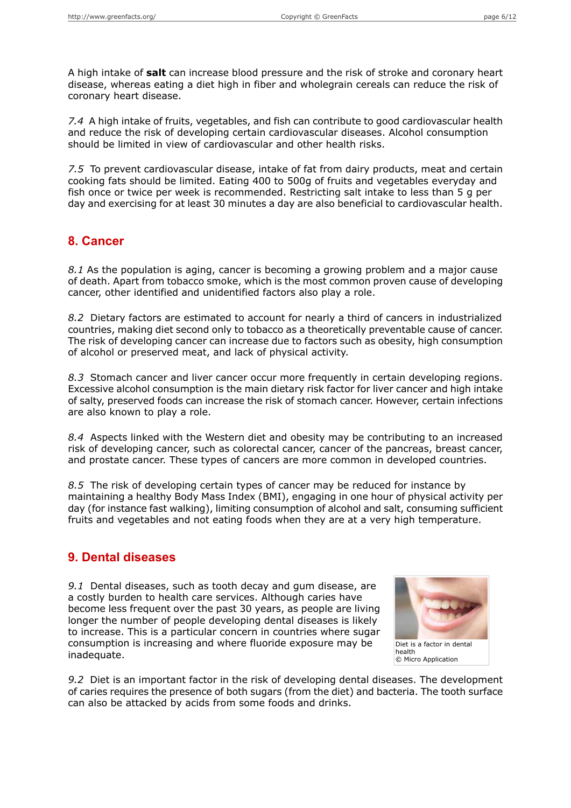A high intake of **salt** can increase blood pressure and the risk of stroke and coronary heart disease, whereas eating a diet high in fiber and wholegrain cereals can reduce the risk of coronary heart disease.

*7.4* A high intake of fruits, vegetables, and fish can contribute to good cardiovascular health and reduce the risk of developing certain cardiovascular diseases. Alcohol consumption should be limited in view of cardiovascular and other health risks.

*7.5* To prevent cardiovascular disease, intake of fat from dairy products, meat and certain cooking fats should be limited. Eating 400 to 500g of fruits and vegetables everyday and fish once or twice per week is recommended. Restricting salt intake to less than 5 g per day and exercising for at least 30 minutes a day are also beneficial to cardiovascular health.

#### **8. Cancer**

*8.1* As the population is aging, cancer is becoming a growing problem and a major cause of death. Apart from tobacco smoke, which is the most common proven cause of developing cancer, other identified and unidentified factors also play a role.

*8.2* Dietary factors are estimated to account for nearly a third of cancers in industrialized countries, making diet second only to tobacco as a theoretically preventable cause of cancer. The risk of developing cancer can increase due to factors such as obesity, high consumption of alcohol or preserved meat, and lack of physical activity.

*8.3* Stomach cancer and liver cancer occur more frequently in certain developing regions. Excessive alcohol consumption is the main dietary risk factor for liver cancer and high intake of salty, preserved foods can increase the risk of stomach cancer. However, certain infections are also known to play a role.

*8.4* Aspects linked with the Western diet and obesity may be contributing to an increased risk of developing cancer, such as colorectal cancer, cancer of the pancreas, breast cancer, and prostate cancer. These types of cancers are more common in developed countries.

*8.5* The risk of developing certain types of cancer may be reduced for instance by maintaining a healthy Body Mass Index (BMI), engaging in one hour of physical activity per day (for instance fast walking), limiting consumption of alcohol and salt, consuming sufficient fruits and vegetables and not eating foods when they are at a very high temperature.

#### **9. Dental diseases**

*9.1* Dental diseases, such as tooth decay and gum disease, are a costly burden to health care services. Although caries have become less frequent over the past 30 years, as people are living longer the number of people developing dental diseases is likely to increase. This is a particular concern in countries where sugar consumption is increasing and where fluoride exposure may be inadequate.



*9.2* Diet is an important factor in the risk of developing dental diseases. The development of caries requires the presence of both sugars (from the diet) and bacteria. The tooth surface can also be attacked by acids from some foods and drinks.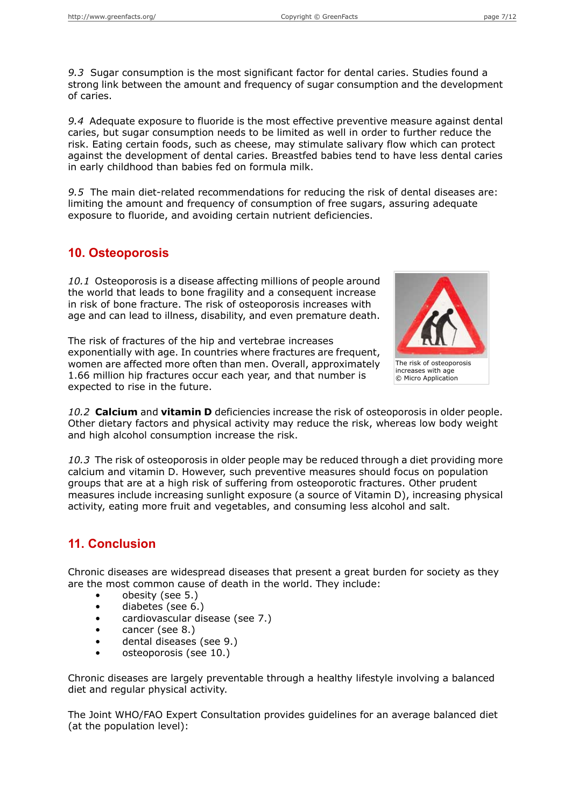*9.3* Sugar consumption is the most significant factor for dental caries. Studies found a strong link between the amount and frequency of sugar consumption and the development of caries.

*9.4* Adequate exposure to fluoride is the most effective preventive measure against dental caries, but sugar consumption needs to be limited as well in order to further reduce the risk. Eating certain foods, such as cheese, may stimulate salivary flow which can protect against the development of dental caries. Breastfed babies tend to have less dental caries in early childhood than babies fed on formula milk.

*9.5* The main diet-related recommendations for reducing the risk of dental diseases are: limiting the amount and frequency of consumption of free sugars, assuring adequate exposure to fluoride, and avoiding certain nutrient deficiencies.

## **10. Osteoporosis**

*10.1* Osteoporosis is a disease affecting millions of people around the world that leads to bone fragility and a consequent increase in risk of bone fracture. The risk of osteoporosis increases with age and can lead to illness, disability, and even premature death.



increases with age © Micro Application

The risk of fractures of the hip and vertebrae increases exponentially with age. In countries where fractures are frequent, women are affected more often than men. Overall, approximately 1.66 million hip fractures occur each year, and that number is expected to rise in the future.

*10.2* **Calcium** and **vitamin D** deficiencies increase the risk of osteoporosis in older people. Other dietary factors and physical activity may reduce the risk, whereas low body weight and high alcohol consumption increase the risk.

*10.3* The risk of osteoporosis in older people may be reduced through a diet providing more calcium and vitamin D. However, such preventive measures should focus on population groups that are at a high risk of suffering from osteoporotic fractures. Other prudent measures include increasing sunlight exposure (a source of Vitamin D), increasing physical activity, eating more fruit and vegetables, and consuming less alcohol and salt.

## **11. Conclusion**

Chronic diseases are widespread diseases that present a great burden for society as they are the most common cause of death in the world. They include:

- obesity (see 5.)
- diabetes (see 6.)
- cardiovascular disease (see 7.)
- cancer (see 8.)
- dental diseases (see 9.)
- osteoporosis (see 10.)

Chronic diseases are largely preventable through a healthy lifestyle involving a balanced diet and regular physical activity.

The Joint WHO/FAO Expert Consultation provides guidelines for an average balanced diet (at the population level):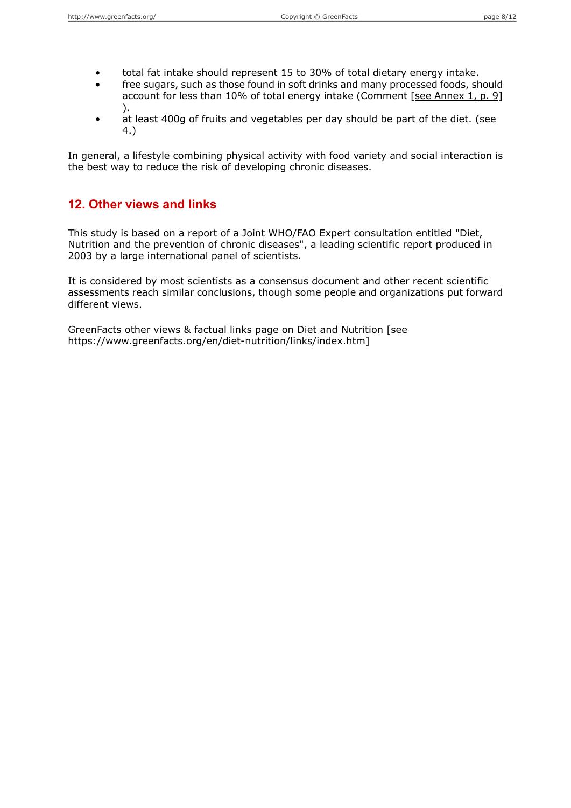- total fat intake should represent 15 to 30% of total dietary energy intake.
- free sugars, such as those found in soft drinks and many processed foods, should account for less than 10% of total energy intake (Comment [see [Annex](#page-8-1) 1, p. 9] ).
- at least 400g of fruits and vegetables per day should be part of the diet. (see 4.)

In general, a lifestyle combining physical activity with food variety and social interaction is the best way to reduce the risk of developing chronic diseases.

#### **12. Other views and links**

This study is based on a report of a Joint WHO/FAO Expert consultation entitled "Diet, Nutrition and the prevention of chronic diseases", a leading scientific report produced in 2003 by a large international panel of scientists.

It is considered by most scientists as a consensus document and other recent scientific assessments reach similar conclusions, though some people and organizations put forward different views.

GreenFacts other views & factual links page on Diet and Nutrition [see https://www.greenfacts.org/en/diet-nutrition/links/index.htm]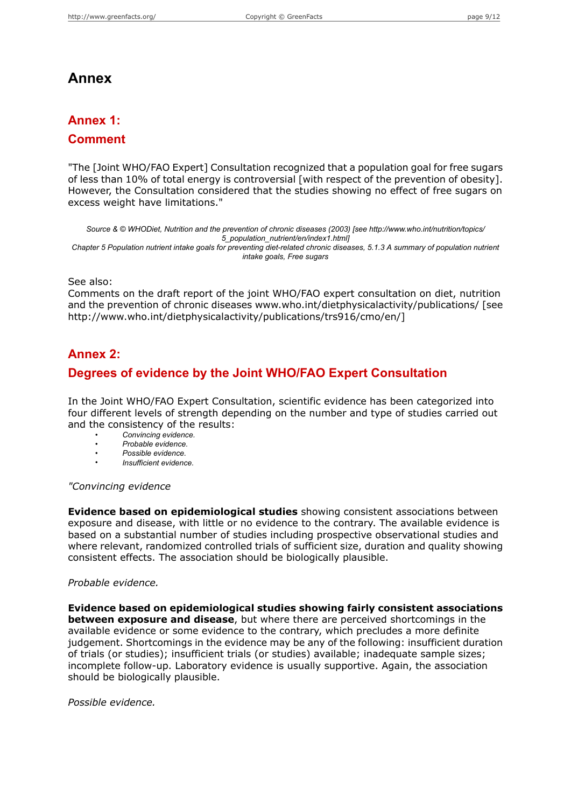# **Annex**

# <span id="page-8-1"></span>**Annex 1:**

## **Comment**

"The [Joint WHO/FAO Expert] Consultation recognized that a population goal for free sugars of less than 10% of total energy is controversial [with respect of the prevention of obesity]. However, the Consultation considered that the studies showing no effect of free sugars on excess weight have limitations."

*Source & © WHODiet, Nutrition and the prevention of chronic diseases (2003) [see http://www.who.int/nutrition/topics/ 5\_population\_nutrient/en/index1.html]* Chapter 5 Population nutrient intake goals for preventing diet-related chronic diseases, 5.1.3 A summary of population nutrient *intake goals, Free sugars*

See also:

<span id="page-8-0"></span>Comments on the draft report of the joint WHO/FAO expert consultation on diet, nutrition and the prevention of chronic diseases www.who.int/dietphysicalactivity/publications/ [see http://www.who.int/dietphysicalactivity/publications/trs916/cmo/en/]

## **Annex 2:**

### **Degrees of evidence by the Joint WHO/FAO Expert Consultation**

In the Joint WHO/FAO Expert Consultation, scientific evidence has been categorized into four different levels of strength depending on the number and type of studies carried out and the consistency of the results:

- *Convincing evidence.*
- *Probable evidence.*
- *Possible evidence.*
- *Insufficient evidence.*

#### *"Convincing evidence*

**Evidence based on epidemiological studies** showing consistent associations between exposure and disease, with little or no evidence to the contrary. The available evidence is based on a substantial number of studies including prospective observational studies and where relevant, randomized controlled trials of sufficient size, duration and quality showing consistent effects. The association should be biologically plausible.

#### *Probable evidence.*

**Evidence based on epidemiological studies showing fairly consistent associations between exposure and disease**, but where there are perceived shortcomings in the available evidence or some evidence to the contrary, which precludes a more definite judgement. Shortcomings in the evidence may be any of the following: insufficient duration of trials (or studies); insufficient trials (or studies) available; inadequate sample sizes; incomplete follow-up. Laboratory evidence is usually supportive. Again, the association should be biologically plausible.

*Possible evidence.*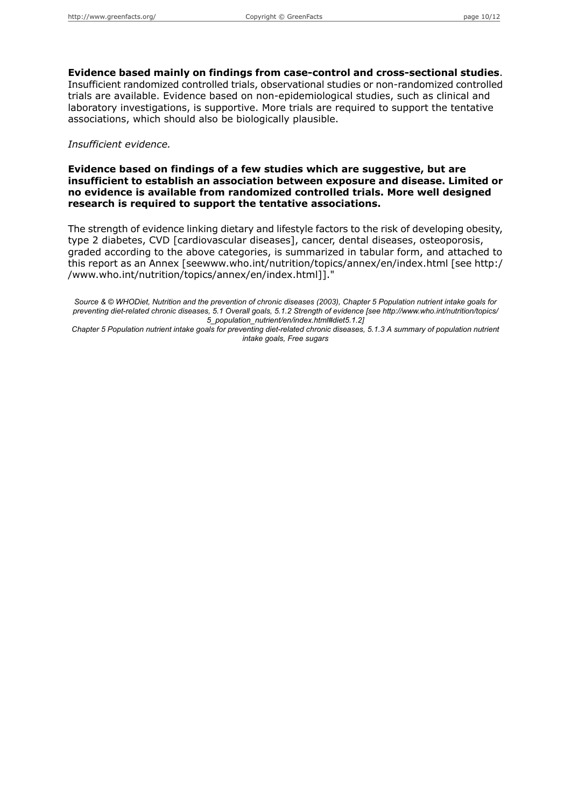**Evidence based mainly on findings from case-control and cross-sectional studies**. Insufficient randomized controlled trials, observational studies or non-randomized controlled trials are available. Evidence based on non-epidemiological studies, such as clinical and laboratory investigations, is supportive. More trials are required to support the tentative associations, which should also be biologically plausible.

#### *Insufficient evidence.*

**Evidence based on findings of a few studies which are suggestive, but are insufficient to establish an association between exposure and disease. Limited or no evidence is available from randomized controlled trials. More well designed research is required to support the tentative associations.**

The strength of evidence linking dietary and lifestyle factors to the risk of developing obesity, type 2 diabetes, CVD [cardiovascular diseases], cancer, dental diseases, osteoporosis, graded according to the above categories, is summarized in tabular form, and attached to this report as an Annex [seewww.who.int/nutrition/topics/annex/en/index.html [see http:/ /www.who.int/nutrition/topics/annex/en/index.html]]."

Source & © WHODiet. Nutrition and the prevention of chronic diseases (2003). Chapter 5 Population nutrient intake goals for *preventing diet-related chronic diseases, 5.1 Overall goals, 5.1.2 Strength of evidence [see http://www.who.int/nutrition/topics/ 5\_population\_nutrient/en/index.html#diet5.1.2]*

Chapter 5 Population nutrient intake goals for preventing diet-related chronic diseases, 5.1.3 A summary of population nutrient *intake goals, Free sugars*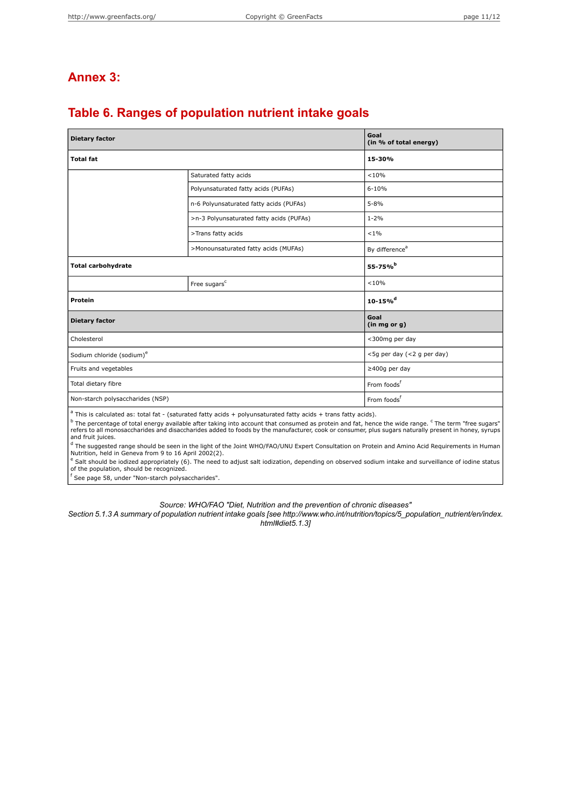# <span id="page-10-0"></span>**Annex 3:**

# **Table 6. Ranges of population nutrient intake goals**

| <b>Dietary factor</b>                                                                                                                                                                                                                                                                            | Goal<br>(in % of total energy)           |                            |  |
|--------------------------------------------------------------------------------------------------------------------------------------------------------------------------------------------------------------------------------------------------------------------------------------------------|------------------------------------------|----------------------------|--|
| <b>Total fat</b>                                                                                                                                                                                                                                                                                 | 15-30%                                   |                            |  |
|                                                                                                                                                                                                                                                                                                  | Saturated fatty acids                    | < 10%                      |  |
|                                                                                                                                                                                                                                                                                                  | Polyunsaturated fatty acids (PUFAs)      | $6 - 10%$                  |  |
|                                                                                                                                                                                                                                                                                                  | n-6 Polyunsaturated fatty acids (PUFAs)  | $5 - 8%$                   |  |
|                                                                                                                                                                                                                                                                                                  | >n-3 Polyunsaturated fatty acids (PUFAs) | $1 - 2%$                   |  |
|                                                                                                                                                                                                                                                                                                  | >Trans fatty acids                       | $< 1\%$                    |  |
|                                                                                                                                                                                                                                                                                                  | >Monounsaturated fatty acids (MUFAs)     | By difference <sup>a</sup> |  |
| <b>Total carbohydrate</b>                                                                                                                                                                                                                                                                        | 55-75% <sup>b</sup>                      |                            |  |
|                                                                                                                                                                                                                                                                                                  | Free sugars <sup>c</sup>                 | < 10%                      |  |
| Protein                                                                                                                                                                                                                                                                                          | $10 - 15%$ <sup>d</sup>                  |                            |  |
| <b>Dietary factor</b>                                                                                                                                                                                                                                                                            | Goal<br>(in mg or g)                     |                            |  |
| Cholesterol                                                                                                                                                                                                                                                                                      | <300mg per day                           |                            |  |
| Sodium chloride (sodium) <sup>e</sup>                                                                                                                                                                                                                                                            | <5g per day (<2 g per day)               |                            |  |
| Fruits and vegetables                                                                                                                                                                                                                                                                            | $\geq$ 400g per day                      |                            |  |
| Total dietary fibre                                                                                                                                                                                                                                                                              | From foods <sup>t</sup>                  |                            |  |
| Non-starch polysaccharides (NSP)                                                                                                                                                                                                                                                                 | From foods <sup>f</sup>                  |                            |  |
| $a$ This is calculated as: total fat - (saturated fatty acids + polyunsaturated fatty acids + trans fatty acids).<br><sup>b</sup> The percentage of total energy available after taking into account that consumed as protein and fat, hence the wide range. <sup>c</sup> The term "free sugars" |                                          |                            |  |

<sup>b</sup> The percentage of total energy available after taking into account that consumed as protein and fat, hence the wide range. <sup>c</sup> The term "free sugars"<br>refers to all monosaccharides and disaccharides added to foods by th

and fruit juices.<br><sup>d</sup> The suggested range should be seen in the light of the Joint WHO/FAO/UNU Expert Consultation on Protein and Amino Acid Requirements in Human<br>Nutrition, held in Geneva from 9 to 16 April 2002(2).

<sup>e</sup> Salt should be iodized appropriately (6). The need to adjust salt iodization, depending on observed sodium intake and surveillance of iodine status<br>of the population, should be recognized.

f See page 58, under "Non-starch polysaccharides".

*Source: WHO/FAO "Diet, Nutrition and the prevention of chronic diseases"*

*Section 5.1.3 A summary of population nutrient intake goals [see http://www.who.int/nutrition/topics/5\_population\_nutrient/en/index. html#diet5.1.3]*